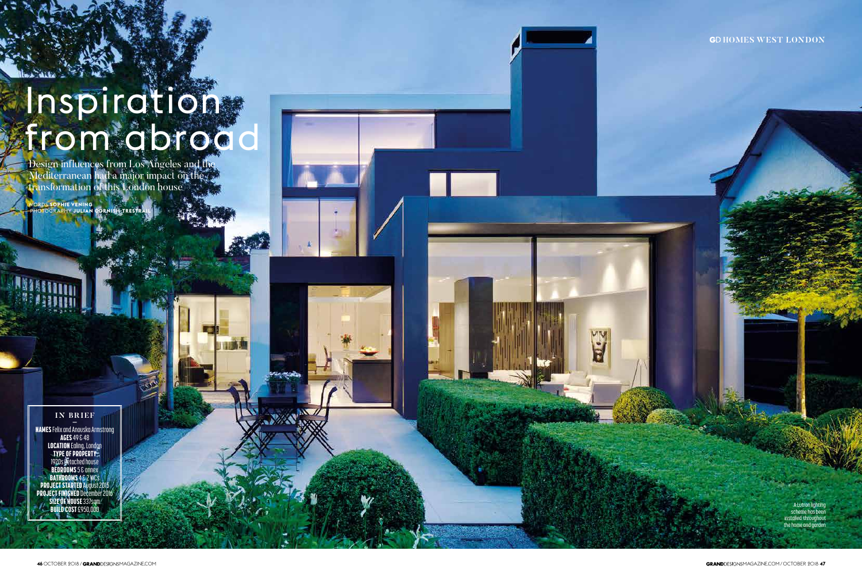# Inspiration **FOM COLOGO**

TE L

NAMES Felix and Anouska Armstrong **AGES 49 & 48 LOCATION Ealing, London** TYPE OF PROPERTY 1920s detached house BEDROOMS 5 & annex BATHROOMS 4 & 2 WCs PROJECT STARTED August 2015 PROJECT FINISHED December 2016 SIZE OF HOUSE 337sqm **BUILD COST £950,000** 

## **GD HOMES WEST LONDON**

Design influences from Los Angeles and the Mediterranean had a major impact on the transformation of this London house

WORDS **SOPHIE VENING** PHOTOGRAPHY **JULIAN CORNISH-TRESTRAIL**

**IN BRIEF –**

A Lutron lighting scheme has been installed throughout the home and garden

ă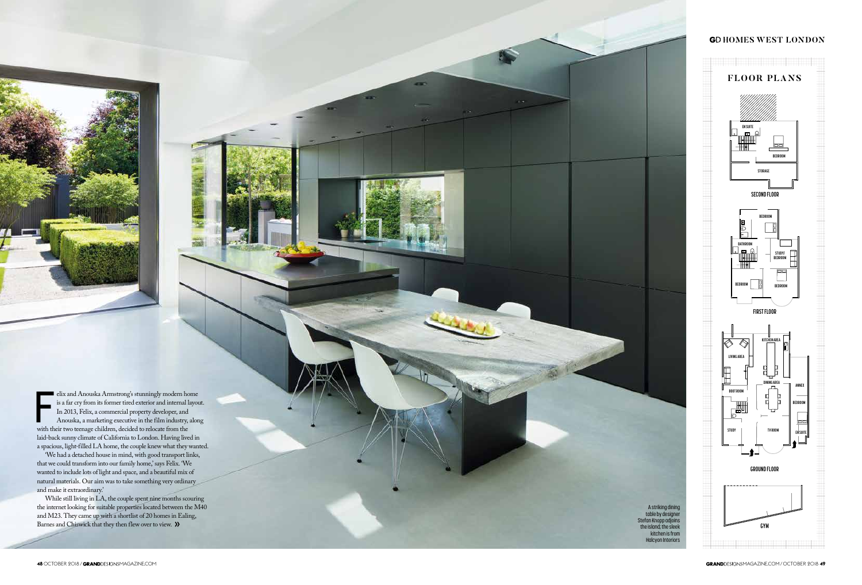A striking dining table by designer Stefan Knopp adjoins the island; the sleek kitchen is from Halcyon Interiors

is a far cry from its former tired exterior and internal layout.<br>
In 2013, Felix, a commercial property developer, and<br>
Anouska, a marketing executive in the film industry, along<br>
with their two teenage children, decided t elix and Anouska Armstrong's stunningly modern home In 2013, Felix, a commercial property developer, and Anouska, a marketing executive in the film industry, along with their two teenage children, decided to relocate from the laid-back sunny climate of California to London. Having lived in a spacious, light-filled LA home, the couple knew what they wanted.

While still living in LA, the couple spent nine months scouring the internet looking for suitable properties located between the M40 and M23. They came up with a shortlist of 20 homes in Ealing, Barnes and Chiswick that they then flew over to view.  $\lambda$ 

# **GDHOMES WEST LONDON**



'We had a detached house in mind, with good transport links, that we could transform into our family home,' says Felix. 'We wanted to include lots of light and space, and a beautiful mix of natural materials. Our aim was to take something very ordinary and make it extraordinary.'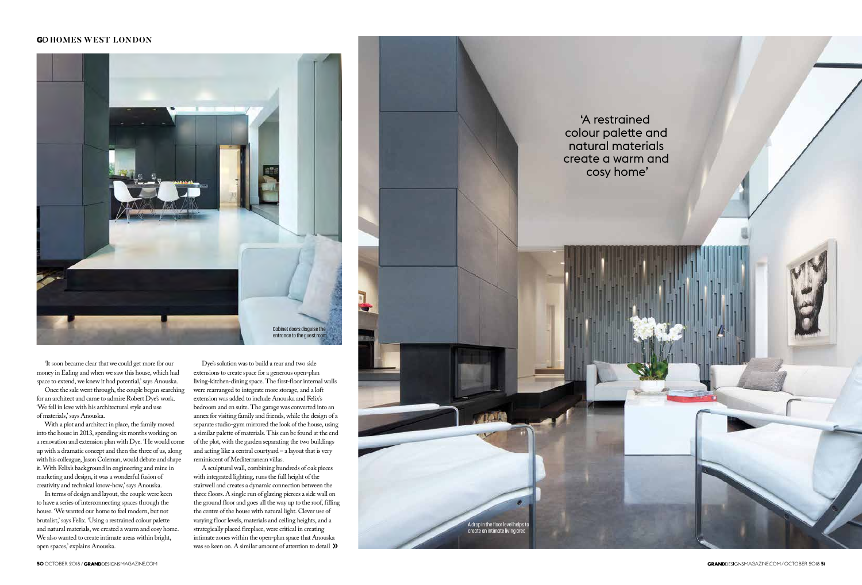

'It soon became clear that we could get more for our money in Ealing and when we saw this house, which had space to extend, we knew it had potential,' says Anouska.

Once the sale went through, the couple began searching for an architect and came to admire Robert Dye's work. 'We fell in love with his architectural style and use of materials,' says Anouska.

With a plot and architect in place, the family moved into the house in 2013, spending six months working on a renovation and extension plan with Dye. 'He would come up with a dramatic concept and then the three of us, along with his colleague, Jason Coleman, would debate and shape it. With Felix's background in engineering and mine in marketing and design, it was a wonderful fusion of creativity and technical know-how,' says Anouska.

A sculptural wall, combining hundreds of oak pieces with integrated lighting, runs the full height of the stairwell and creates a dynamic connection between the three floors. A single run of glazing pierces a side wall on the ground floor and goes all the way up to the roof, filling the centre of the house with natural light. Clever use of varying floor levels, materials and ceiling heights, and a strategically placed fireplace, were critical in creating intimate zones within the open-plan space that Anouska was so keen on. A similar amount of attention to detail  $\mathcal{V}$ 

In terms of design and layout, the couple were keen to have a series of interconnecting spaces through the house. 'We wanted our home to feel modern, but not brutalist,' says Felix. 'Using a restrained colour palette and natural materials, we created a warm and cosy home. We also wanted to create intimate areas within bright, open spaces,' explains Anouska.

Dye's solution was to build a rear and two side extensions to create space for a generous open-plan living-kitchen-dining space. The first-floor internal walls were rearranged to integrate more storage, and a loft extension was added to include Anouska and Felix's bedroom and en suite. The garage was converted into an annex for visiting family and friends, while the design of a separate studio-gym mirrored the look of the house, using a similar palette of materials. This can be found at the end of the plot, with the garden separating the two buildings and acting like a central courtyard – a layout that is very reminiscent of Mediterranean villas.



### **HOMES WEST LONDON**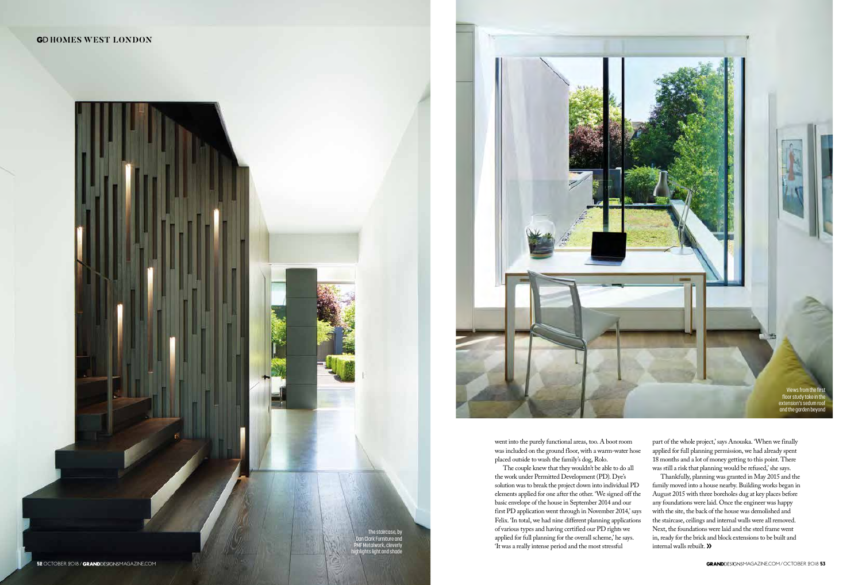went into the purely functional areas, too. A boot room was included on the ground floor, with a warm-water hose placed outside to wash the family's dog, Rolo.

The couple knew that they wouldn't be able to do all the work under Permitted Development (PD). Dye's solution was to break the project down into individual PD elements applied for one after the other. 'We signed off the basic envelope of the house in September 2014 and our first PD application went through in November 2014,' says Felix. 'In total, we had nine different planning applications of various types and having certified our PD rights we applied for full planning for the overall scheme,' he says. 'It was a really intense period and the most stressful

### **GDHOMES WEST LONDON**



The staircase, by Clark Furniture and PMF Metalwork, cleverly highlights light and shade



part of the whole project,' says Anouska. 'When we finally applied for full planning permission, we had already spent 18 months and a lot of money getting to this point. There was still a risk that planning would be refused,' she says.

Thankfully, planning was granted in May 2015 and the family moved into a house nearby. Building works began in August 2015 with three boreholes dug at key places before any foundations were laid. Once the engineer was happy with the site, the back of the house was demolished and the staircase, ceilings and internal walls were all removed. Next, the foundations were laid and the steel frame went in, ready for the brick and block extensions to be built and internal walls rebuilt.